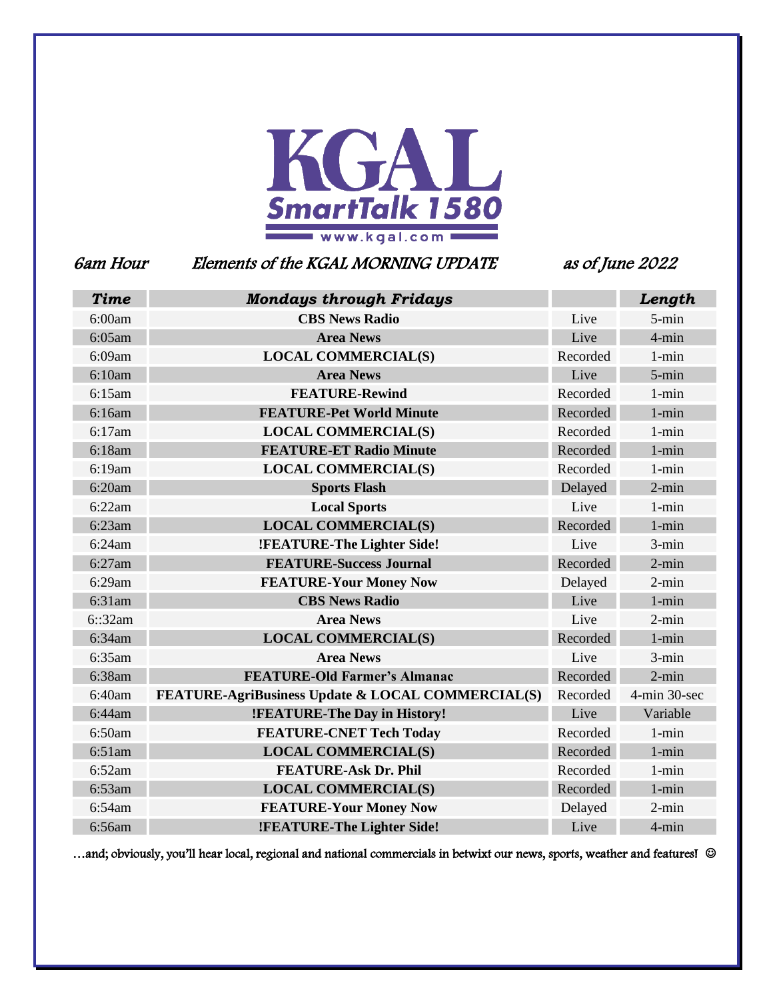

# 6am Hour Elements of the KGAL MORNING UPDATE as of June 2022

| <b>Time</b> | <b>Mondays through Fridays</b>                    |          | Length       |
|-------------|---------------------------------------------------|----------|--------------|
| 6:00am      | <b>CBS News Radio</b>                             | Live     | 5-min        |
| 6:05am      | <b>Area News</b>                                  | Live     | $4 - min$    |
| 6:09am      | <b>LOCAL COMMERCIAL(S)</b>                        | Recorded | $1 - min$    |
| 6:10am      | <b>Area News</b>                                  | Live     | 5-min        |
| 6:15am      | <b>FEATURE-Rewind</b>                             | Recorded | $1 - min$    |
| 6:16am      | <b>FEATURE-Pet World Minute</b>                   | Recorded | $1 - min$    |
| 6:17am      | <b>LOCAL COMMERCIAL(S)</b>                        | Recorded | $1 - min$    |
| 6:18am      | <b>FEATURE-ET Radio Minute</b>                    | Recorded | $1 - min$    |
| 6:19am      | <b>LOCAL COMMERCIAL(S)</b>                        | Recorded | $1 - min$    |
| 6:20am      | <b>Sports Flash</b>                               | Delayed  | $2$ -min     |
| 6:22am      | <b>Local Sports</b>                               | Live     | $1 - min$    |
| 6:23am      | <b>LOCAL COMMERCIAL(S)</b>                        | Recorded | $1 - min$    |
| 6:24am      | !FEATURE-The Lighter Side!                        | Live     | 3-min        |
| 6:27am      | <b>FEATURE-Success Journal</b>                    | Recorded | $2$ -min     |
| 6:29am      | <b>FEATURE-Your Money Now</b>                     | Delayed  | $2$ -min     |
| 6:31am      | <b>CBS News Radio</b>                             | Live     | $1 - min$    |
| 6::32am     | <b>Area News</b>                                  | Live     | $2$ -min     |
| 6:34am      | <b>LOCAL COMMERCIAL(S)</b>                        | Recorded | $1 - min$    |
| 6:35am      | <b>Area News</b>                                  | Live     | $3 - min$    |
| 6:38am      | <b>FEATURE-Old Farmer's Almanac</b>               | Recorded | $2 - min$    |
| 6:40am      | FEATURE-AgriBusiness Update & LOCAL COMMERCIAL(S) | Recorded | 4-min 30-sec |
| 6:44am      | !FEATURE-The Day in History!                      | Live     | Variable     |
| 6:50am      | <b>FEATURE-CNET Tech Today</b>                    | Recorded | $1 - min$    |
| 6:51am      | <b>LOCAL COMMERCIAL(S)</b>                        | Recorded | $1 - min$    |
| 6:52am      | <b>FEATURE-Ask Dr. Phil</b>                       | Recorded | $1 - min$    |
| $6:53$ am   | <b>LOCAL COMMERCIAL(S)</b>                        | Recorded | $1 - min$    |
| 6:54am      | <b>FEATURE-Your Money Now</b>                     | Delayed  | $2$ -min     |
| 6:56am      | !FEATURE-The Lighter Side!                        | Live     | 4-min        |

...and; obviously, you'll hear local, regional and national commercials in betwixt our news, sports, weather and features!  $\odot$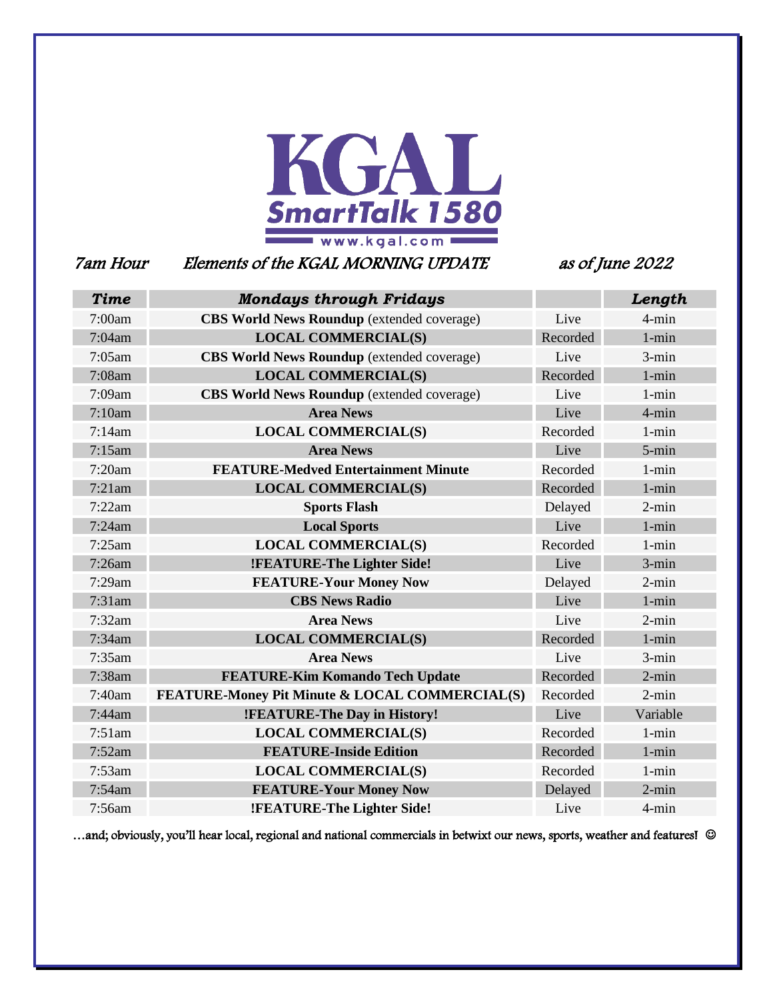

7am Hour Elements of the KGAL MORNING UPDATE as of June 2022

| <b>Time</b> | <b>Mondays through Fridays</b>                    |          | Length    |
|-------------|---------------------------------------------------|----------|-----------|
| 7:00am      | <b>CBS World News Roundup</b> (extended coverage) | Live     | 4-min     |
| 7:04am      | <b>LOCAL COMMERCIAL(S)</b>                        | Recorded | $1 - min$ |
| 7:05am      | <b>CBS World News Roundup</b> (extended coverage) | Live     | $3 - min$ |
| 7:08am      | <b>LOCAL COMMERCIAL(S)</b>                        | Recorded | $1 - min$ |
| 7:09am      | <b>CBS World News Roundup</b> (extended coverage) | Live     | $1 - min$ |
| 7:10am      | <b>Area News</b>                                  | Live     | 4-min     |
| 7:14am      | <b>LOCAL COMMERCIAL(S)</b>                        | Recorded | $1 - min$ |
| 7:15am      | <b>Area News</b>                                  | Live     | 5-min     |
| 7:20am      | <b>FEATURE-Medved Entertainment Minute</b>        | Recorded | $1 - min$ |
| 7:21am      | <b>LOCAL COMMERCIAL(S)</b>                        | Recorded | $1 - min$ |
| 7:22am      | <b>Sports Flash</b>                               | Delayed  | $2 - min$ |
| 7:24am      | <b>Local Sports</b>                               | Live     | $1 - min$ |
| 7:25am      | <b>LOCAL COMMERCIAL(S)</b>                        | Recorded | $1 - min$ |
| 7:26am      | !FEATURE-The Lighter Side!                        | Live     | $3 - min$ |
| 7:29am      | <b>FEATURE-Your Money Now</b>                     | Delayed  | $2 - min$ |
| $7:31$ am   | <b>CBS News Radio</b>                             | Live     | $1 - min$ |
| 7:32am      | <b>Area News</b>                                  | Live     | $2 - min$ |
| 7:34am      | <b>LOCAL COMMERCIAL(S)</b>                        | Recorded | $1 - min$ |
| 7:35am      | <b>Area News</b>                                  | Live     | $3 - min$ |
| 7:38am      | <b>FEATURE-Kim Komando Tech Update</b>            | Recorded | $2 - min$ |
| 7:40am      | FEATURE-Money Pit Minute & LOCAL COMMERCIAL(S)    | Recorded | $2 - min$ |
| 7:44am      | !FEATURE-The Day in History!                      | Live     | Variable  |
| 7:51am      | <b>LOCAL COMMERCIAL(S)</b>                        | Recorded | $1 - min$ |
| 7:52am      | <b>FEATURE-Inside Edition</b>                     | Recorded | $1 - min$ |
| 7:53am      | <b>LOCAL COMMERCIAL(S)</b>                        | Recorded | $1 - min$ |
| 7:54am      | <b>FEATURE-Your Money Now</b>                     | Delayed  | $2$ -min  |
| 7:56am      | !FEATURE-The Lighter Side!                        | Live     | 4-min     |

…and; obviously, you'll hear local, regional and national commercials in betwixt our news, sports, weather and features! ©